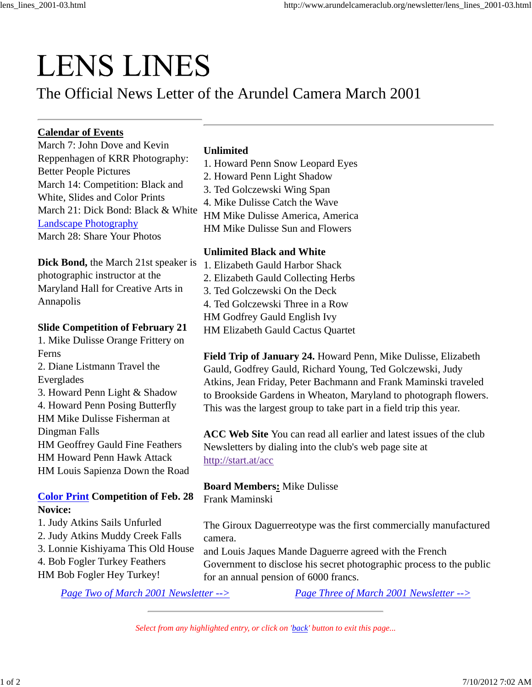# **LENS LINES**

# The Official News Letter of the Arundel Camera March 2001

# **Calendar of Events**

March 7: John Dove and Kevin Reppenhagen of KRR Photography: Better People Pictures March 14: Competition: Black and White, Slides and Color Prints March 21: Dick Bond: Black & White Landscape Photography March 28: Share Your Photos

**Dick Bond,** the March 21st speaker is photographic instructor at the Maryland Hall for Creative Arts in Annapolis

#### **Slide Competition of February 21**

1. Mike Dulisse Orange Frittery on Ferns 2. Diane Listmann Travel the Everglades 3. Howard Penn Light & Shadow 4. Howard Penn Posing Butterfly HM Mike Dulisse Fisherman at Dingman Falls HM Geoffrey Gauld Fine Feathers HM Howard Penn Hawk Attack

HM Louis Sapienza Down the Road

# **Color Print Competition of Feb. 28 Novice:**

1. Judy Atkins Sails Unfurled 2. Judy Atkins Muddy Creek Falls 3. Lonnie Kishiyama This Old House 4. Bob Fogler Turkey Feathers HM Bob Fogler Hey Turkey!

## **Unlimited**

- 1. Howard Penn Snow Leopard Eyes
- 2. Howard Penn Light Shadow
- 3. Ted Golczewski Wing Span
- 4. Mike Dulisse Catch the Wave
- HM Mike Dulisse America, America
- HM Mike Dulisse Sun and Flowers

### **Unlimited Black and White**

1. Elizabeth Gauld Harbor Shack 2. Elizabeth Gauld Collecting Herbs 3. Ted Golczewski On the Deck 4. Ted Golczewski Three in a Row HM Godfrey Gauld English Ivy HM Elizabeth Gauld Cactus Quartet

**Field Trip of January 24.** Howard Penn, Mike Dulisse, Elizabeth Gauld, Godfrey Gauld, Richard Young, Ted Golczewski, Judy Atkins, Jean Friday, Peter Bachmann and Frank Maminski traveled to Brookside Gardens in Wheaton, Maryland to photograph flowers. This was the largest group to take part in a field trip this year.

**ACC Web Site** You can read all earlier and latest issues of the club Newsletters by dialing into the club's web page site at http://start.at/acc

**Board Members:** Mike Dulisse Frank Maminski

The Giroux Daguerreotype was the first commercially manufactured camera.

and Louis Jaques Mande Daguerre agreed with the French Government to disclose his secret photographic process to the public for an annual pension of 6000 francs.

*Page Two of March 2001 Newsletter --> Page Three of March 2001 Newsletter -->*

*Select from any highlighted entry, or click on 'back' button to exit this page...*